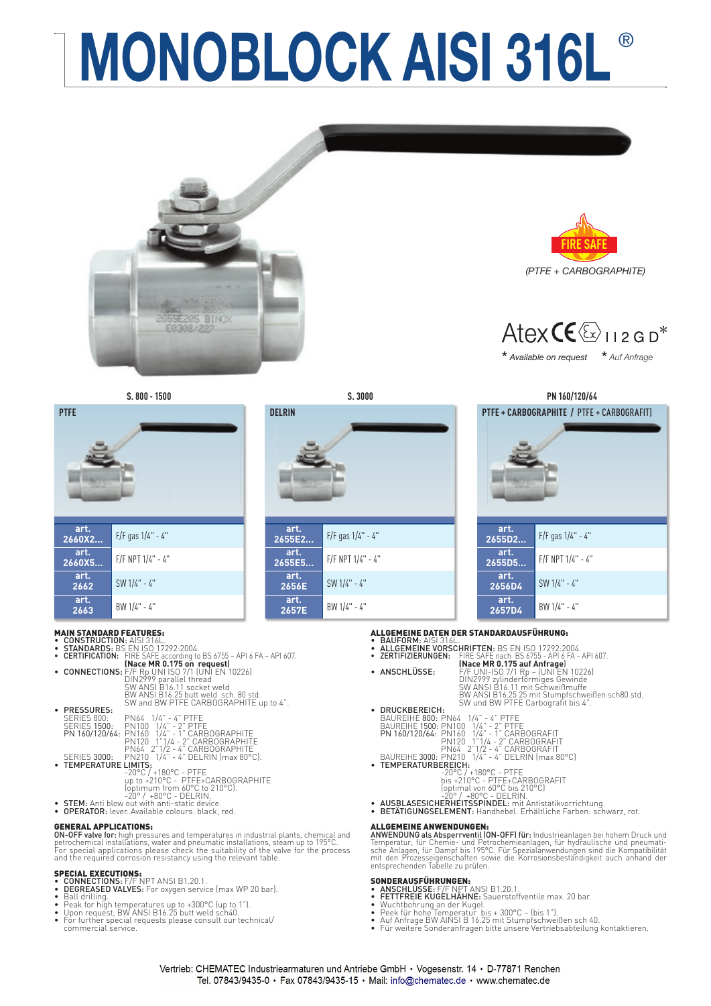# **MONOBLOCK AISI 316L**®





### MAIN STANDARD FEATURES:

- **CONSTRUCTION:** AISI 316L.<br> **STANDARDS:** BS EN ISO 17292:2004.
- 

|                             | • CERTIFICATION: FIRE SAFE according to BS 6755 – API 6 FA – API 607.<br>(Nace MR 0.175 on request)                                            |
|-----------------------------|------------------------------------------------------------------------------------------------------------------------------------------------|
|                             | • CONNECTIONS: $F/F$ Rp UNI ISO 7/1 (UNI EN 10226)                                                                                             |
|                             | DIN2999 parallel thread<br>SW ANSI'B16.11 socket weld<br>BW ANSI B16.25 butt weld sch. 80 std.<br>SW and BW PTFE CARBOGRAPHITE up to 4".       |
| • PRESSURES:<br>SERIES 800: | PN64 1/4" - 4" PTFE<br>SERIES 1500: PN100 1/4" - 2" PTFE<br>PN 160/120/64: PN160 1/4" - 1" CARBOGRAPHITE<br>PN120 1"1/4 - 2" CARBOGRAPHITE     |
| • TEMPERATURE LIMITS:       | PN64 2"1/2 - 4" CARBOGRAPHITE<br>SERIES 3000: PN210 1/4" - 4" DELRIN (max 80°C).                                                               |
|                             | $-20$ °C / $+180$ °C - PTFE<br>up to +210°C - PTFE+CARBOGRAPHITE<br>(optimum from 60°C to 210°C).<br>$-20^{\circ}$ / $+80^{\circ}$ C - DELRIN. |
|                             | • STEM: Anti blow out with anti-static device.                                                                                                 |
|                             | • OPERATOR: lever. Available colours: black. red.                                                                                              |

**GENERAL APPLICATIONS:**<br>ON-OFF valve for: high press **ON-OFF valve for:** high pressures and temperatures in industrial plants, chemical and<br>petrochemical installations, water and pneumatic installations, steam up to 195°C.<br>For special applications please check the suitabilit

- 
- SPECIAL EXECUTIONS:<br>• CONNECTIONS: F/F NPT ANSI B1.20.1.<br>• BEGREASED VALVES: For oxygen service (max WP 20 bar).<br>• Ball drilling.
- 
- Peak for high temperatures up to +300°C (up to 1"). Upon request, BW ANSI B16.25 butt weld sch40.
- For further special requests please consult our technical/ commercial service.

|  |  | $\sim$ |
|--|--|--------|





Atex  $CE \rightarrow$ 

**\*** *Available on request* **\*** *Auf Anfrage* 

**S. 800 - 1500 S. 3000 PN 160/120/64**



- ALLGEMEINE DATEN DER STANDARDAUSFÜHRUNG:
- **BAUFORM:** AISI 316L.<br>**ALLGEMEINE VORSCHRIFTEN:** BS EN ISO 17292:2004.<br>ZERTIFIZIERUNGEN: FIRE SAFE nach BS 6755 API 6 FA -
- 
- 
- ZERTIFIZIERUNGEN: FIRE SAFE nach BS 6755 API 6 FA API 607.<br> **(Nace MR 0.175 auf Anfrage)**<br>
 **ANSCHLÜSSE:** F/F UNI-ISO 7/1 Rp (UNI EN 10226)<br>
DIN2999 zylinderförmiges Gewinde<br>
SW ANSI B16.11 mit Schweißmuffe BW ANSI B16.25 25 mit Stumpfschweißen sch80 std. SW und BW PTFE Carbografi t bis 4". • DRUCKBEREICH: BAUREIHE 800: PN64 1/4" - 4" PTFE BAUREIHE 1500: PN100 1/4" - 2" PTFE PN 160/120/64: PN160 1/4" - 1" CARBOGRAFIT PN120 1"1/4 - 2" CARBOGRAFIT PN64 2"1/2 - 4" CARBOGRAFIT BAUREIHE 3000: PN210 1/4" - 4" DELRIN (max 80°C) • TEMPERATURBEREICH: -20°C / +180°C - PTFE bis +210°C - PTFE+CARBOGRAFIT (optimal von 60°C bis 210°C) -20° / +80°C - DELRIN. • AUSBLASESICHERHEITSSPINDEL: mit Antistatikvorrichtung. • BETÄTIGUNGSELEMENT: Handhebel. Erhältliche Farben: schwarz, rot.
	- -
		-
	- -
		-
- 

ALLGEMEINE ANWENDUNGEN:<br>ANWENDUNG als Absperrventil (ON-OFF) für: Industrieanlagen bei hohem Druck und<br>Temperatur, für Chemie- und Petrochemieanlagen, für hydraulische und pneumati-<br>sche Anlagen, für Dampf bis 195°C. Für S

- 
- 
- 
- **SONDERAUSFÜHRUNGEN:**<br>• **ANSCHLÜSSE:** F/F NPT ANSI B1.20.1.<br>• FETTFREIE KUGELHÄHNE: Sauerstoffventile max. 20 bar.<br>• Wuchtbohrung an der Kugel.<br>• Peek für hohe Temperatur bis + 300°C (bis 1").<br>• Auf Anfrage BW AlNSI B 16
-